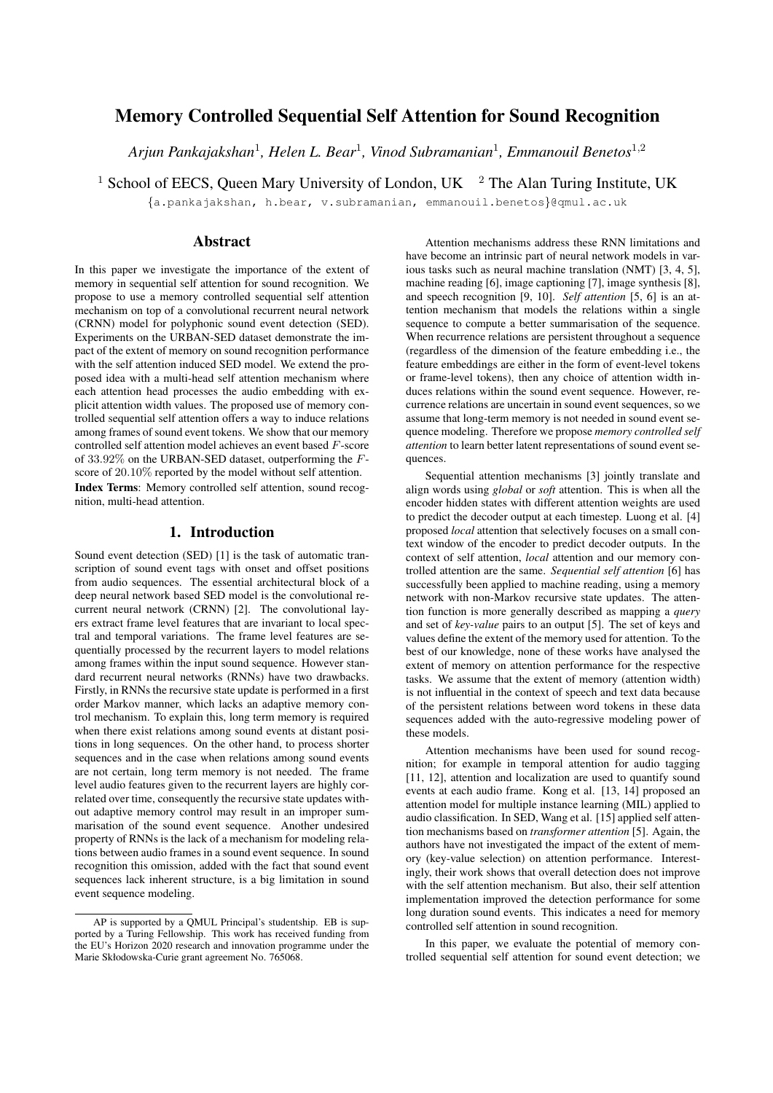# Memory Controlled Sequential Self Attention for Sound Recognition

*Arjun Pankajakshan*<sup>1</sup> *, Helen L. Bear*<sup>1</sup> *, Vinod Subramanian*<sup>1</sup> *, Emmanouil Benetos*<sup>1</sup>,<sup>2</sup>

<sup>1</sup> School of EECS, Queen Mary University of London, UK  $\mathrm{^{2}}$  The Alan Turing Institute, UK

{a.pankajakshan, h.bear, v.subramanian, emmanouil.benetos}@qmul.ac.uk

## Abstract

In this paper we investigate the importance of the extent of memory in sequential self attention for sound recognition. We propose to use a memory controlled sequential self attention mechanism on top of a convolutional recurrent neural network (CRNN) model for polyphonic sound event detection (SED). Experiments on the URBAN-SED dataset demonstrate the impact of the extent of memory on sound recognition performance with the self attention induced SED model. We extend the proposed idea with a multi-head self attention mechanism where each attention head processes the audio embedding with explicit attention width values. The proposed use of memory controlled sequential self attention offers a way to induce relations among frames of sound event tokens. We show that our memory controlled self attention model achieves an event based F-score of  $33.92\%$  on the URBAN-SED dataset, outperforming the  $F$ score of 20.10% reported by the model without self attention. Index Terms: Memory controlled self attention, sound recog-

nition, multi-head attention.

## 1. Introduction

Sound event detection (SED) [1] is the task of automatic transcription of sound event tags with onset and offset positions from audio sequences. The essential architectural block of a deep neural network based SED model is the convolutional recurrent neural network (CRNN) [2]. The convolutional layers extract frame level features that are invariant to local spectral and temporal variations. The frame level features are sequentially processed by the recurrent layers to model relations among frames within the input sound sequence. However standard recurrent neural networks (RNNs) have two drawbacks. Firstly, in RNNs the recursive state update is performed in a first order Markov manner, which lacks an adaptive memory control mechanism. To explain this, long term memory is required when there exist relations among sound events at distant positions in long sequences. On the other hand, to process shorter sequences and in the case when relations among sound events are not certain, long term memory is not needed. The frame level audio features given to the recurrent layers are highly correlated over time, consequently the recursive state updates without adaptive memory control may result in an improper summarisation of the sound event sequence. Another undesired property of RNNs is the lack of a mechanism for modeling relations between audio frames in a sound event sequence. In sound recognition this omission, added with the fact that sound event sequences lack inherent structure, is a big limitation in sound event sequence modeling.

Attention mechanisms address these RNN limitations and have become an intrinsic part of neural network models in various tasks such as neural machine translation (NMT) [3, 4, 5], machine reading [6], image captioning [7], image synthesis [8], and speech recognition [9, 10]. *Self attention* [5, 6] is an attention mechanism that models the relations within a single sequence to compute a better summarisation of the sequence. When recurrence relations are persistent throughout a sequence (regardless of the dimension of the feature embedding i.e., the feature embeddings are either in the form of event-level tokens or frame-level tokens), then any choice of attention width induces relations within the sound event sequence. However, recurrence relations are uncertain in sound event sequences, so we assume that long-term memory is not needed in sound event sequence modeling. Therefore we propose *memory controlled self attention* to learn better latent representations of sound event sequences.

Sequential attention mechanisms [3] jointly translate and align words using *global* or *soft* attention. This is when all the encoder hidden states with different attention weights are used to predict the decoder output at each timestep. Luong et al. [4] proposed *local* attention that selectively focuses on a small context window of the encoder to predict decoder outputs. In the context of self attention, *local* attention and our memory controlled attention are the same. *Sequential self attention* [6] has successfully been applied to machine reading, using a memory network with non-Markov recursive state updates. The attention function is more generally described as mapping a *query* and set of *key-value* pairs to an output [5]. The set of keys and values define the extent of the memory used for attention. To the best of our knowledge, none of these works have analysed the extent of memory on attention performance for the respective tasks. We assume that the extent of memory (attention width) is not influential in the context of speech and text data because of the persistent relations between word tokens in these data sequences added with the auto-regressive modeling power of these models.

Attention mechanisms have been used for sound recognition; for example in temporal attention for audio tagging [11, 12], attention and localization are used to quantify sound events at each audio frame. Kong et al. [13, 14] proposed an attention model for multiple instance learning (MIL) applied to audio classification. In SED, Wang et al. [15] applied self attention mechanisms based on *transformer attention* [5]. Again, the authors have not investigated the impact of the extent of memory (key-value selection) on attention performance. Interestingly, their work shows that overall detection does not improve with the self attention mechanism. But also, their self attention implementation improved the detection performance for some long duration sound events. This indicates a need for memory controlled self attention in sound recognition.

In this paper, we evaluate the potential of memory controlled sequential self attention for sound event detection; we

AP is supported by a QMUL Principal's studentship. EB is supported by a Turing Fellowship. This work has received funding from the EU's Horizon 2020 research and innovation programme under the Marie Skłodowska-Curie grant agreement No. 765068.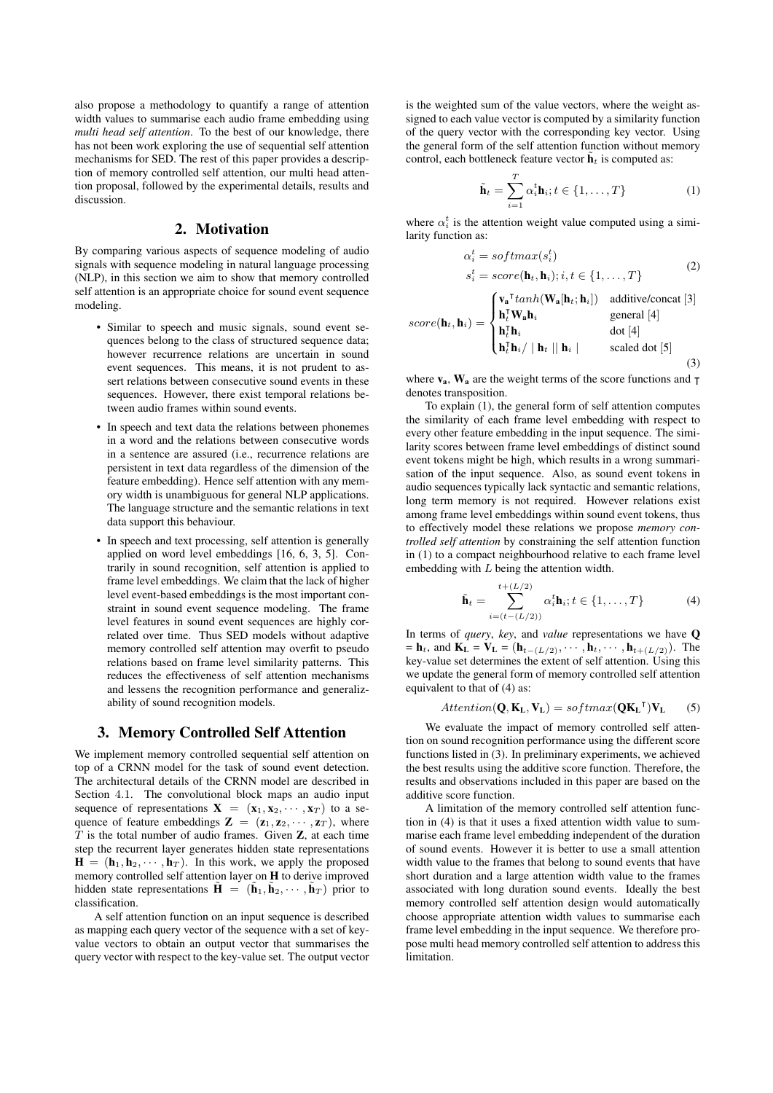also propose a methodology to quantify a range of attention width values to summarise each audio frame embedding using *multi head self attention*. To the best of our knowledge, there has not been work exploring the use of sequential self attention mechanisms for SED. The rest of this paper provides a description of memory controlled self attention, our multi head attention proposal, followed by the experimental details, results and discussion.

## 2. Motivation

By comparing various aspects of sequence modeling of audio signals with sequence modeling in natural language processing (NLP), in this section we aim to show that memory controlled self attention is an appropriate choice for sound event sequence modeling.

- Similar to speech and music signals, sound event sequences belong to the class of structured sequence data; however recurrence relations are uncertain in sound event sequences. This means, it is not prudent to assert relations between consecutive sound events in these sequences. However, there exist temporal relations between audio frames within sound events.
- In speech and text data the relations between phonemes in a word and the relations between consecutive words in a sentence are assured (i.e., recurrence relations are persistent in text data regardless of the dimension of the feature embedding). Hence self attention with any memory width is unambiguous for general NLP applications. The language structure and the semantic relations in text data support this behaviour.
- In speech and text processing, self attention is generally applied on word level embeddings [16, 6, 3, 5]. Contrarily in sound recognition, self attention is applied to frame level embeddings. We claim that the lack of higher level event-based embeddings is the most important constraint in sound event sequence modeling. The frame level features in sound event sequences are highly correlated over time. Thus SED models without adaptive memory controlled self attention may overfit to pseudo relations based on frame level similarity patterns. This reduces the effectiveness of self attention mechanisms and lessens the recognition performance and generalizability of sound recognition models.

## 3. Memory Controlled Self Attention

We implement memory controlled sequential self attention on top of a CRNN model for the task of sound event detection. The architectural details of the CRNN model are described in Section 4.1. The convolutional block maps an audio input sequence of representations  $X = (x_1, x_2, \cdots, x_T)$  to a sequence of feature embeddings  $\mathbf{Z} = (\mathbf{z}_1, \mathbf{z}_2, \cdots, \mathbf{z}_T)$ , where  $\hat{T}$  is the total number of audio frames. Given **Z**, at each time step the recurrent layer generates hidden state representations  $H = (h_1, h_2, \dots, h_T)$ . In this work, we apply the proposed memory controlled self attention layer on H to derive improved hidden state representations  $\tilde{\mathbf{H}} = (\tilde{\mathbf{h}}_1, \tilde{\mathbf{h}}_2, \cdots, \tilde{\mathbf{h}}_T)$  prior to classification.

A self attention function on an input sequence is described as mapping each query vector of the sequence with a set of keyvalue vectors to obtain an output vector that summarises the query vector with respect to the key-value set. The output vector is the weighted sum of the value vectors, where the weight assigned to each value vector is computed by a similarity function of the query vector with the corresponding key vector. Using the general form of the self attention function without memory control, each bottleneck feature vector  $\mathbf{h}_t$  is computed as:

$$
\tilde{\mathbf{h}}_t = \sum_{i=1}^T \alpha_i^t \mathbf{h}_i; t \in \{1, \dots, T\}
$$
 (1)

where  $\alpha_i^t$  is the attention weight value computed using a similarity function as:

$$
\alpha_i^t = softmax(s_i^t) \ns_i^t = score(\mathbf{h}_t, \mathbf{h}_i); i, t \in \{1, ..., T\}
$$
\n(2)

$$
score(\mathbf{h}_t, \mathbf{h}_i) = \begin{cases} \mathbf{v_a}^\top tanh(\mathbf{W_a}[\mathbf{h}_t; \mathbf{h}_i]) & \text{additive/concat } [3] \\ \mathbf{h}_t^\top \mathbf{W_a} \mathbf{h}_i & \text{general } [4] \\ \mathbf{h}_t^\top \mathbf{h}_i & \text{dot } [4] \\ \mathbf{h}_t^\top \mathbf{h}_i / | \mathbf{h}_t || \mathbf{h}_i | & \text{scaled dot } [5] \end{cases} \tag{3}
$$

where  $v_a$ ,  $W_a$  are the weight terms of the score functions and  $\tau$ denotes transposition.

To explain (1), the general form of self attention computes the similarity of each frame level embedding with respect to every other feature embedding in the input sequence. The similarity scores between frame level embeddings of distinct sound event tokens might be high, which results in a wrong summarisation of the input sequence. Also, as sound event tokens in audio sequences typically lack syntactic and semantic relations, long term memory is not required. However relations exist among frame level embeddings within sound event tokens, thus to effectively model these relations we propose *memory controlled self attention* by constraining the self attention function in (1) to a compact neighbourhood relative to each frame level embedding with L being the attention width.

$$
\tilde{\mathbf{h}}_t = \sum_{i=(t-(L/2))}^{t+(L/2)} \alpha_i^t \mathbf{h}_i; t \in \{1, \dots, T\}
$$
 (4)

In terms of *query*, *key*, and *value* representations we have Q  $=$  **h**<sub>t</sub>, and  $\mathbf{K}_L = \mathbf{V}_L = (\mathbf{h}_{t-(L/2)}, \cdots, \mathbf{h}_t, \cdots, \mathbf{h}_{t+(L/2)})$ . The key-value set determines the extent of self attention. Using this we update the general form of memory controlled self attention equivalent to that of (4) as:

$$
Attention(Q, K_{L}, V_{L}) = softmax(QK_{L}^{\top})V_{L}
$$
 (5)

We evaluate the impact of memory controlled self attention on sound recognition performance using the different score functions listed in (3). In preliminary experiments, we achieved the best results using the additive score function. Therefore, the results and observations included in this paper are based on the additive score function.

A limitation of the memory controlled self attention function in (4) is that it uses a fixed attention width value to summarise each frame level embedding independent of the duration of sound events. However it is better to use a small attention width value to the frames that belong to sound events that have short duration and a large attention width value to the frames associated with long duration sound events. Ideally the best memory controlled self attention design would automatically choose appropriate attention width values to summarise each frame level embedding in the input sequence. We therefore propose multi head memory controlled self attention to address this limitation.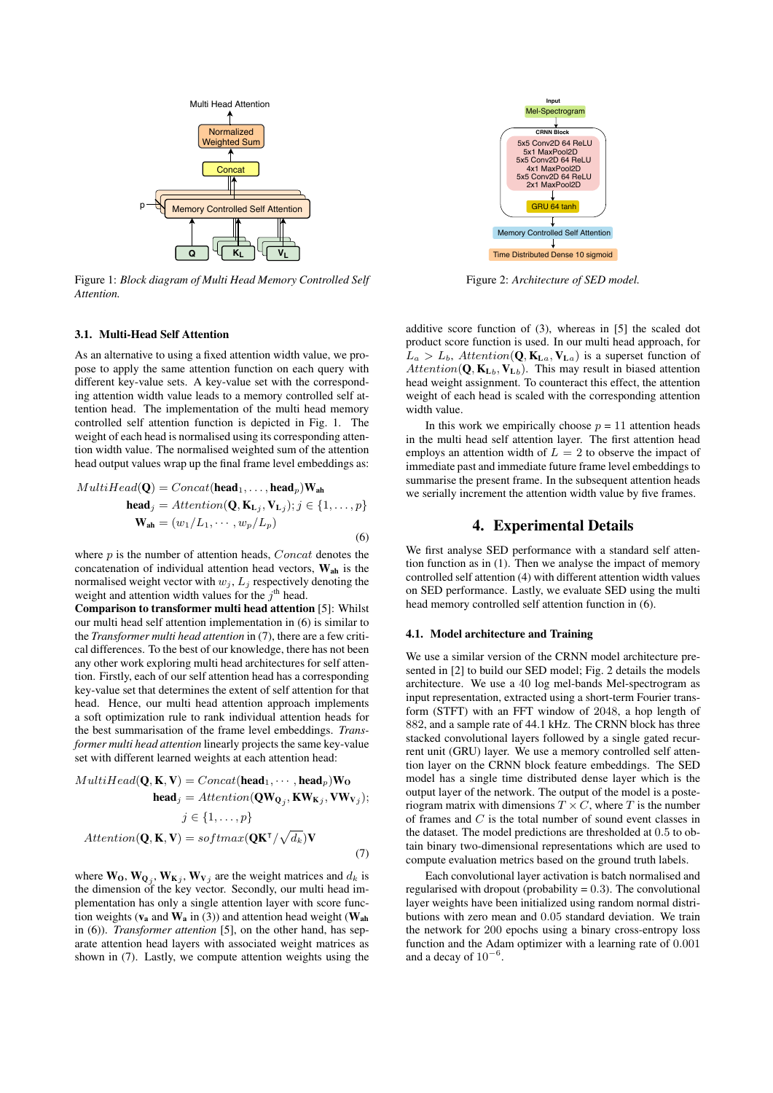

Figure 1: *Block diagram of Multi Head Memory Controlled Self Attention.*

#### 3.1. Multi-Head Self Attention

As an alternative to using a fixed attention width value, we propose to apply the same attention function on each query with different key-value sets. A key-value set with the corresponding attention width value leads to a memory controlled self attention head. The implementation of the multi head memory controlled self attention function is depicted in Fig. 1. The weight of each head is normalised using its corresponding attention width value. The normalised weighted sum of the attention head output values wrap up the final frame level embeddings as:

$$
MultiHead(Q) = Concat(head1,...,headp)Wah
$$
  

$$
headj = Attention(Q, KLj, VLj); j \in \{1,...,p\}
$$
  

$$
Wah = (w1/L1, ..., wp/Lp)
$$
 (6)

where  $p$  is the number of attention heads,  $Concat$  denotes the concatenation of individual attention head vectors,  $W_{ab}$  is the normalised weight vector with  $w_i$ ,  $L_i$  respectively denoting the weight and attention width values for the  $j<sup>th</sup>$  head.

Comparison to transformer multi head attention [5]: Whilst our multi head self attention implementation in (6) is similar to the *Transformer multi head attention* in (7), there are a few critical differences. To the best of our knowledge, there has not been any other work exploring multi head architectures for self attention. Firstly, each of our self attention head has a corresponding key-value set that determines the extent of self attention for that head. Hence, our multi head attention approach implements a soft optimization rule to rank individual attention heads for the best summarisation of the frame level embeddings. *Transformer multi head attention* linearly projects the same key-value set with different learned weights at each attention head:

$$
MultiHead(Q, \mathbf{K}, \mathbf{V}) = Concat(\mathbf{head}_1, \cdots, \mathbf{head}_p) \mathbf{W_0}
$$

$$
\mathbf{head}_j = Attention(Q \mathbf{W}_{Q_j}, \mathbf{K} \mathbf{W}_{Kj}, \mathbf{V} \mathbf{W}_{Vj});
$$

$$
j \in \{1, \dots, p\}
$$

$$
Attention(Q, \mathbf{K}, \mathbf{V}) = softmax(Q \mathbf{K}^{\mathsf{T}} / \sqrt{d_k}) \mathbf{V}
$$
(7)

where  $W_0$ ,  $W_{Q_j}$ ,  $W_{K_j}$ ,  $W_{V_j}$  are the weight matrices and  $d_k$  is the dimension of the key vector. Secondly, our multi head implementation has only a single attention layer with score function weights ( $v_a$  and  $W_a$  in (3)) and attention head weight ( $W_{ab}$ in (6)). *Transformer attention* [5], on the other hand, has separate attention head layers with associated weight matrices as shown in (7). Lastly, we compute attention weights using the



Figure 2: *Architecture of SED model.*

additive score function of (3), whereas in [5] the scaled dot product score function is used. In our multi head approach, for  $L_a > L_b$ , Attention( $\mathbf{Q}, \mathbf{K}_{\mathbf{L}_a}, \mathbf{V}_{\mathbf{L}_a}$ ) is a superset function of  $Attention(Q, K_{Lb}, V_{Lb})$ . This may result in biased attention head weight assignment. To counteract this effect, the attention weight of each head is scaled with the corresponding attention width value.

In this work we empirically choose  $p = 11$  attention heads in the multi head self attention layer. The first attention head employs an attention width of  $L = 2$  to observe the impact of immediate past and immediate future frame level embeddings to summarise the present frame. In the subsequent attention heads we serially increment the attention width value by five frames.

## 4. Experimental Details

We first analyse SED performance with a standard self attention function as in (1). Then we analyse the impact of memory controlled self attention (4) with different attention width values on SED performance. Lastly, we evaluate SED using the multi head memory controlled self attention function in (6).

#### 4.1. Model architecture and Training

We use a similar version of the CRNN model architecture presented in [2] to build our SED model; Fig. 2 details the models architecture. We use a 40 log mel-bands Mel-spectrogram as input representation, extracted using a short-term Fourier transform (STFT) with an FFT window of 2048, a hop length of 882, and a sample rate of 44.1 kHz. The CRNN block has three stacked convolutional layers followed by a single gated recurrent unit (GRU) layer. We use a memory controlled self attention layer on the CRNN block feature embeddings. The SED model has a single time distributed dense layer which is the output layer of the network. The output of the model is a posteriogram matrix with dimensions  $T \times C$ , where T is the number of frames and C is the total number of sound event classes in the dataset. The model predictions are thresholded at 0.5 to obtain binary two-dimensional representations which are used to compute evaluation metrics based on the ground truth labels.

Each convolutional layer activation is batch normalised and regularised with dropout (probability  $= 0.3$ ). The convolutional layer weights have been initialized using random normal distributions with zero mean and 0.05 standard deviation. We train the network for 200 epochs using a binary cross-entropy loss function and the Adam optimizer with a learning rate of 0.001 and a decay of  $10^{-6}$ .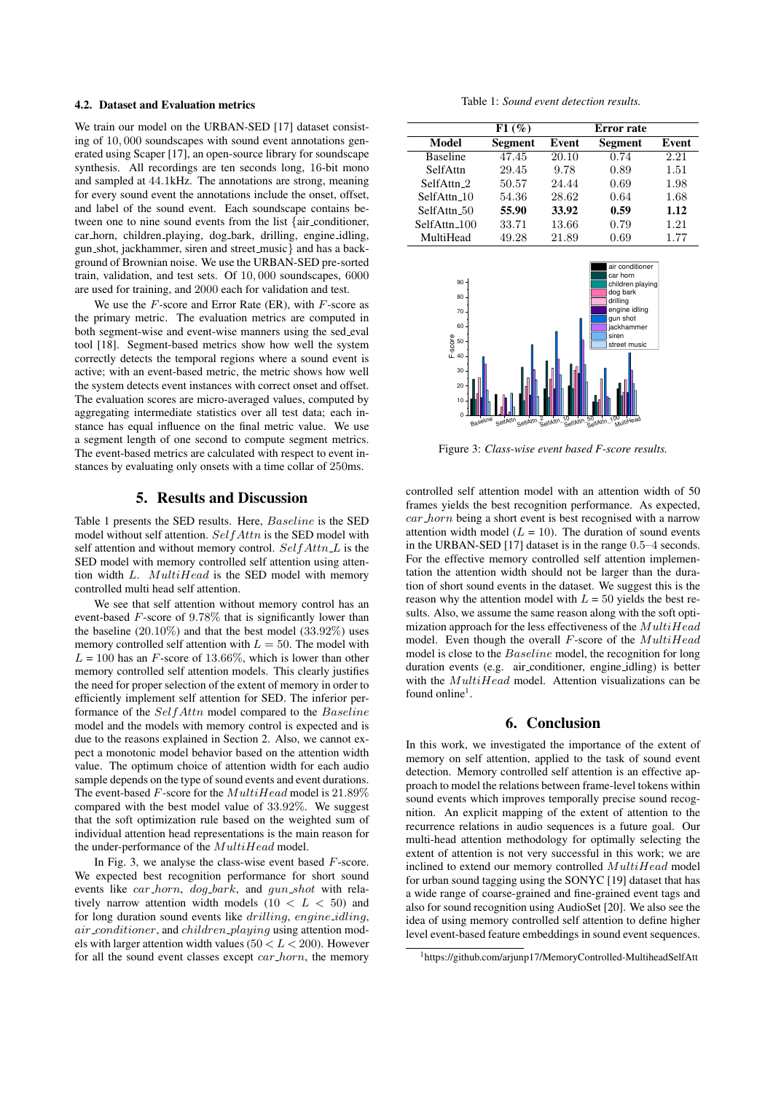#### 4.2. Dataset and Evaluation metrics

We train our model on the URBAN-SED [17] dataset consisting of 10, 000 soundscapes with sound event annotations generated using Scaper [17], an open-source library for soundscape synthesis. All recordings are ten seconds long, 16-bit mono and sampled at 44.1kHz. The annotations are strong, meaning for every sound event the annotations include the onset, offset, and label of the sound event. Each soundscape contains between one to nine sound events from the list {air\_conditioner, car horn, children playing, dog bark, drilling, engine idling, gun\_shot, jackhammer, siren and street\_music} and has a background of Brownian noise. We use the URBAN-SED pre-sorted train, validation, and test sets. Of 10, 000 soundscapes, 6000 are used for training, and 2000 each for validation and test.

We use the  $F$ -score and Error Rate (ER), with  $F$ -score as the primary metric. The evaluation metrics are computed in both segment-wise and event-wise manners using the sed\_eval tool [18]. Segment-based metrics show how well the system correctly detects the temporal regions where a sound event is active; with an event-based metric, the metric shows how well the system detects event instances with correct onset and offset. The evaluation scores are micro-averaged values, computed by aggregating intermediate statistics over all test data; each instance has equal influence on the final metric value. We use a segment length of one second to compute segment metrics. The event-based metrics are calculated with respect to event instances by evaluating only onsets with a time collar of 250ms.

#### 5. Results and Discussion

Table 1 presents the SED results. Here, Baseline is the SED model without self attention. Self Attn is the SED model with self attention and without memory control.  $SelfAttn\_L$  is the SED model with memory controlled self attention using attention width  $L$ .  $MultiHead$  is the SED model with memory controlled multi head self attention.

We see that self attention without memory control has an event-based F-score of 9.78% that is significantly lower than the baseline  $(20.10\%)$  and that the best model  $(33.92\%)$  uses memory controlled self attention with  $L = 50$ . The model with  $L = 100$  has an F-score of 13.66%, which is lower than other memory controlled self attention models. This clearly justifies the need for proper selection of the extent of memory in order to efficiently implement self attention for SED. The inferior performance of the SelfAttn model compared to the Baseline model and the models with memory control is expected and is due to the reasons explained in Section 2. Also, we cannot expect a monotonic model behavior based on the attention width value. The optimum choice of attention width for each audio sample depends on the type of sound events and event durations. The event-based  $F$ -score for the  $MultiHead$  model is  $21.89\%$ compared with the best model value of 33.92%. We suggest that the soft optimization rule based on the weighted sum of individual attention head representations is the main reason for the under-performance of the  $MultiHead$  model.

In Fig. 3, we analyse the class-wise event based F-score. We expected best recognition performance for short sound events like car\_horn, dog\_bark, and gun\_shot with relatively narrow attention width models  $(10 < L < 50)$  and for long duration sound events like *drilling*, engine idling, air\_conditioner, and children\_playing using attention models with larger attention width values ( $50 < L < 200$ ). However for all the sound event classes except  $car\_horn$ , the memory

Table 1: *Sound event detection results.*

|                 | $F1 \ (\%)$    |       | Error rate     |       |
|-----------------|----------------|-------|----------------|-------|
| Model           | <b>Segment</b> | Event | <b>Segment</b> | Event |
| <b>Baseline</b> | 47.45          | 20.10 | 0.74           | 2.21  |
| SelfAttn        | 29.45          | 9.78  | 0.89           | 1.51  |
| SelfAttn 2      | 50.57          | 24.44 | 0.69           | 1.98  |
| SelfAttn 10     | 54.36          | 28.62 | 0.64           | 1.68  |
| SelfAttn_50     | 55.90          | 33.92 | 0.59           | 1.12  |
| SelfAttn_100    | 33.71          | 13.66 | 0.79           | 1.21  |
| MultiHead       | 49.28          | 21.89 | 0.69           | 1.77  |



Figure 3: *Class-wise event based F-score results.*

controlled self attention model with an attention width of 50 frames yields the best recognition performance. As expected, car\_horn being a short event is best recognised with a narrow attention width model  $(L = 10)$ . The duration of sound events in the URBAN-SED [17] dataset is in the range 0.5–4 seconds. For the effective memory controlled self attention implementation the attention width should not be larger than the duration of short sound events in the dataset. We suggest this is the reason why the attention model with  $L = 50$  yields the best results. Also, we assume the same reason along with the soft optimization approach for the less effectiveness of the  $MultiHead$ model. Even though the overall  $F$ -score of the  $MultiHead$ model is close to the Baseline model, the recognition for long duration events (e.g. air conditioner, engine idling) is better with the  $MultiHead$  model. Attention visualizations can be found online<sup>1</sup>.

### 6. Conclusion

In this work, we investigated the importance of the extent of memory on self attention, applied to the task of sound event detection. Memory controlled self attention is an effective approach to model the relations between frame-level tokens within sound events which improves temporally precise sound recognition. An explicit mapping of the extent of attention to the recurrence relations in audio sequences is a future goal. Our multi-head attention methodology for optimally selecting the extent of attention is not very successful in this work; we are inclined to extend our memory controlled  $MultiHead$  model for urban sound tagging using the SONYC [19] dataset that has a wide range of coarse-grained and fine-grained event tags and also for sound recognition using AudioSet [20]. We also see the idea of using memory controlled self attention to define higher level event-based feature embeddings in sound event sequences.

<sup>1</sup>https://github.com/arjunp17/MemoryControlled-MultiheadSelfAtt